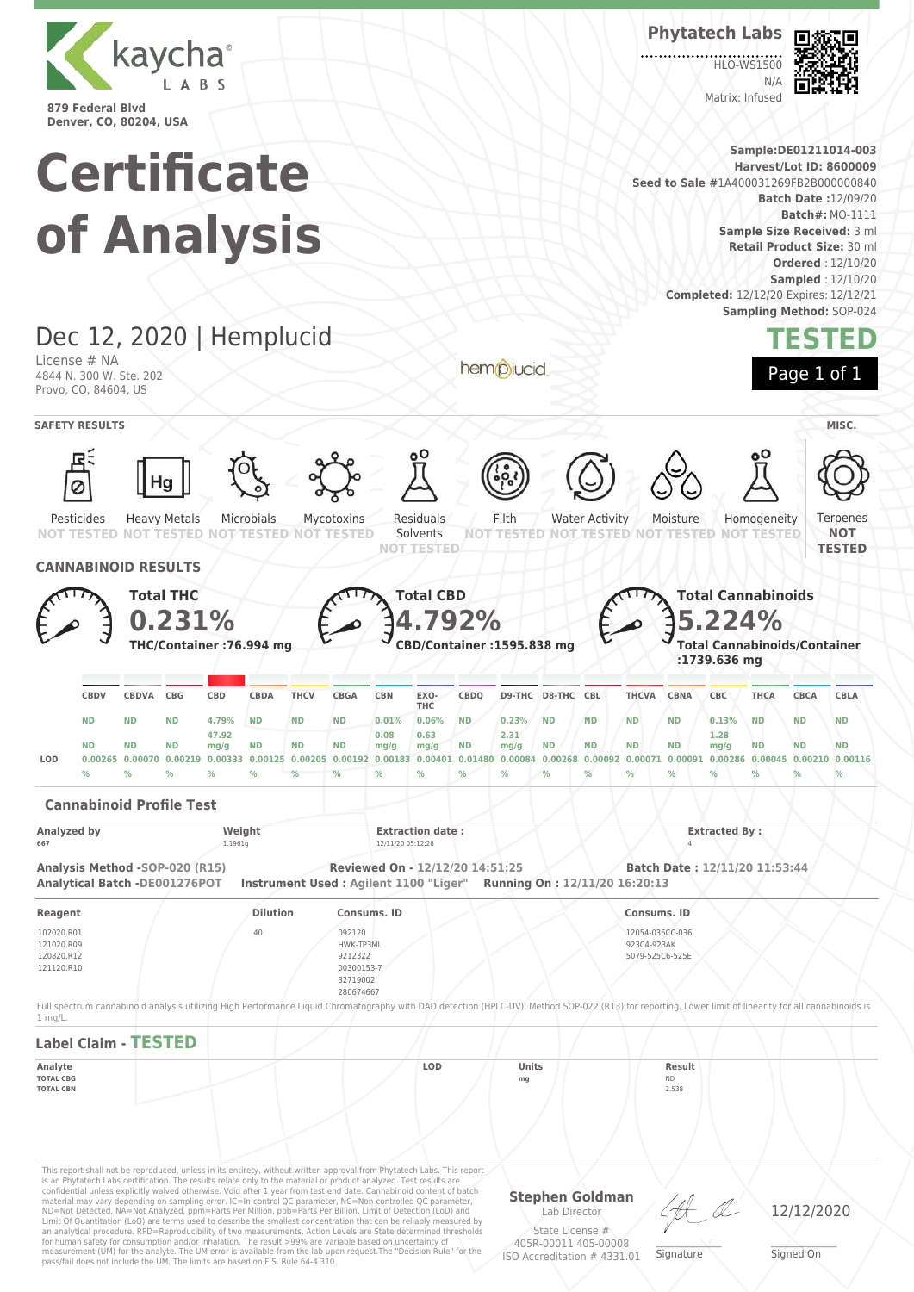

**Phytatech Labs**

**HLO-WS1500**  $N/4$ Matrix: Infused



**Sample:DE01211014-003 Certificate Harvest/Lot ID: 8600009 Seed to Sale #**1A400031269FB2B000000840 **Batch Date :**12/09/20 **Batch#:** MO-1111 **of Analysis Sample Size Received:** 3 ml **Retail Product Size:** 30 ml **Ordered** : 12/10/20 **Sampled** : 12/10/20 **Completed:** 12/12/20 Expires: 12/12/21 **Sampling Method:** SOP-024 Dec 12, 2020 | Hemplucid **TESTED** License # NA hemplucid Page 1 of 1 4844 N. 300 W. Ste. 202 Provo, CO, 84604, US **SAFETY RESULTS** MISC. Water Activity Microbials Residuals Filth Ternenes Pesticides Heavy Metals Mycotoxins Moisture Homogeneity **NOT NOT TESTED TESTED NOT TESTED** NOT **NOT TESTED** Solvents **TESTED NOT NOT TESTED NOT TESTED NOT TESTED NOT TESTED TESTED CANNABINOID RESULTS Total THC Total CBD Total Cannabinoids 0.231% 4.792% 5.224% THC/Container :76.994 mg CBD/Container :1595.838 mg Total Cannabinoids/Container :1739.636 mg CBDQ D9-THC D8-THC CBL THCVA CBNA CBC THCA CBCA CBLA CBDV CBDVA CBG CBD CBDA THCV CBGA CBN EXO-THC ND ND ND 4.79% ND ND ND 0.01% 0.06% ND 0.23% ND ND ND ND 0.13% ND ND ND 47.92 0.08 0.63 2.31 1.28 ND ND ND mg/g ND ND ND mg/g ND mg/g ND ND ND ND mg/g ND ND ND mg/g** LOD 0.00255 0.00070 0.00219 0.00333 0.00125 0.00205 0.00192 0.00183 0.00401 0.01480 0.00084 0.00266 0.00092 0.00071 0.00091 0.00286 0.00045 0.00210 0.00116 **% % % % % % % % % % % % % % % % % % % Cannabinoid Profile Test Analyzed by Weight Extraction date : Extracted By : 667** 1.1961g 12/11/20 05:12:28 4 **Analysis Method -SOP-020 (R15) Reviewed On - 12/12/20 14:51:25 Batch Date : 12/11/20 11:53:44 Analytical Batch -DE001276POT Instrument Used : Agilent 1100 "Liger" Running On : 12/11/20 16:20:13 Reagent Dilution Consums. ID Consums. ID** 102020.R01 40 092120 12054-036CC-036 121020.R09 HWK-TP3ML 923C4-923AK 120820.R12 9212322 5079-525C6-525E 121120.R10 00300153-7 32719002 280674667 Full spectrum cannabinoid analysis utilizing High Performance Liquid Chromatography with DAD detection (HPLC-UV). Method SOP-022 (R13) for reporting. Lower limit of linearity for all cannabinoids is 1 mg/L. **Label Claim - TESTED Analyte LOD Units Result TOTAL CBG mg** ND **TOTAL CBN** 2.538This report shall not be reproduced, unless in its entirety, without written approval from Phytatech Labs. This report

is an Phytatech Labs certification. The results relate only to the material or product analyzed. Test results are<br>confidential unless explicitly waived otherwise. Void after 1 year from test end date. Cannabinoid content o Limit Of Quantitation (LoQ) are terms used to describe the smallest concentration that can be reliably measured by an analytical procedure. RPD=Reproducibility of two measurements. Action Levels are State determined thresholds for human safety for consumption and/or inhalation. The result >99% are variable based on uncertainty of measurement (UM) for the analyte. The UM error is available from the lab upon request.The "Decision Rule" for the pass/fail does not include the UM. The limits are based on F.S. Rule 64-4.310.

**Stephen Goldman** Lab Director State License #

405R-00011 405-00008 ISO Accreditation # 4331.01

\_\_\_\_\_\_\_\_\_\_\_\_\_\_\_\_\_\_\_ Signature

12/12/2020

\_\_\_\_\_\_\_\_\_\_\_\_\_\_\_\_\_\_\_ Signed On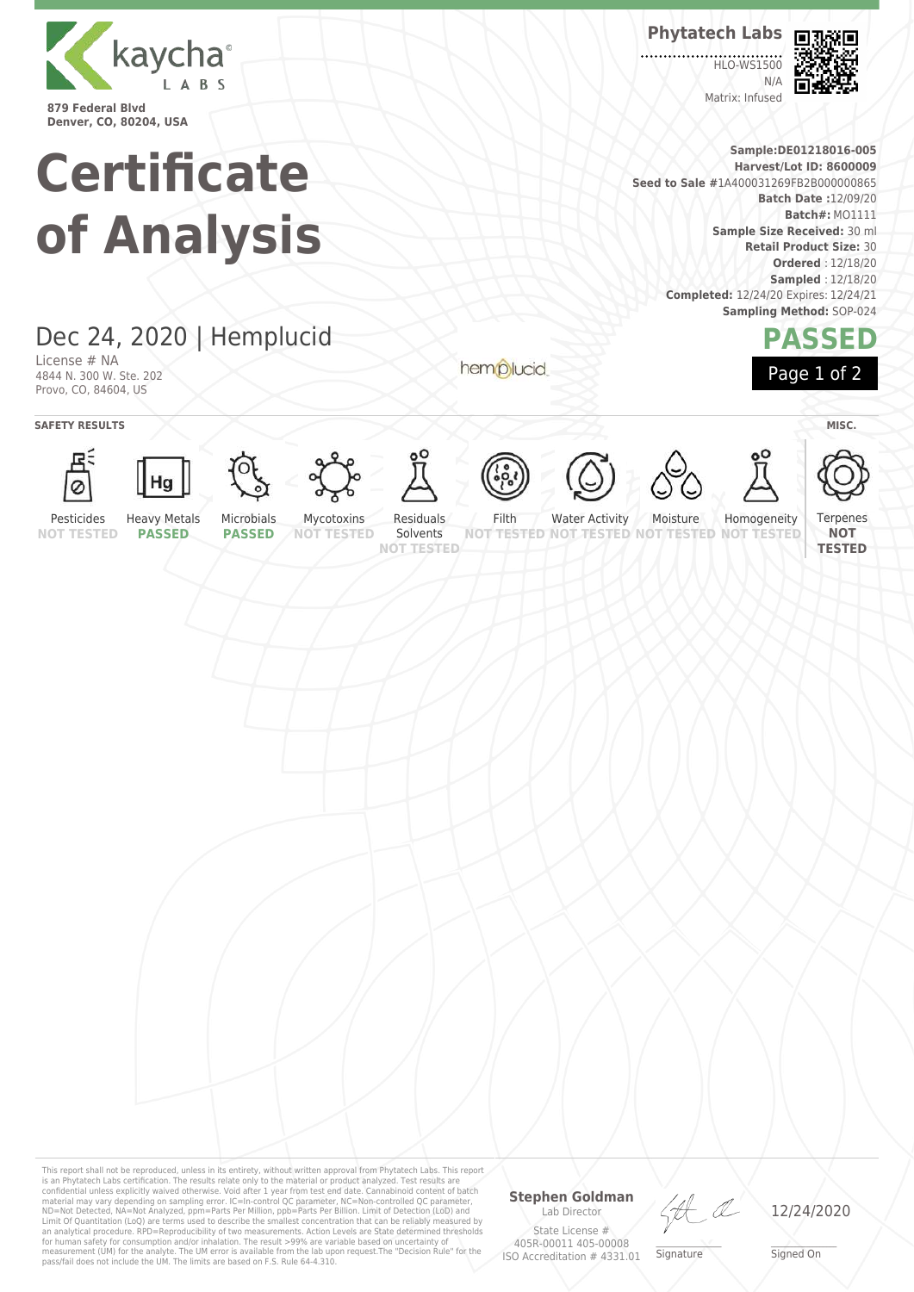

**Certificate of Analysis** **Phytatech Labs**

**HLO-WS1500**  $N/L$ Matrix: Infused



**Sample:DE01218016-005 Harvest/Lot ID: 8600009 Seed to Sale #**1A400031269FB2B000000865 **Batch Date :**12/09/20 **Batch#:** MO1111 **Sample Size Received:** 30 ml **Retail Product Size:** 30 **Ordered** : 12/18/20 **Sampled** : 12/18/20 **Completed:** 12/24/20 Expires: 12/24/21 **Sampling Method:** SOP-024



## Dec 24, 2020 | Hemplucid

License # NA 4844 N. 300 W. Ste. 202 Provo, CO, 84604, US

**SAFETY RESULTS** MISC.























hemplucid









Terpenes

Pesticides **NOT TESTED**

Solvents

**NOT TESTED NOT TESTED**

Water Activity Moisture **TESTED NOT** Homogeneity **NOT TESTED**

**NOT TESTED**

**PASSED**

**PASSED**

**NOT TESTED NOT TESTED**

Filth

This report shall not be reproduced, unless in its entirety, without written approval from Phytatech Labs. This report<br>is an Phytatech Labs certification. The results relate only to the material or product analyzed. Test

### **Stephen Goldman**

Lab Director State License # 405R-00011 405-00008 ISO Accreditation # 4331.01

Ht

\_\_\_\_\_\_\_\_\_\_\_\_\_\_\_\_\_\_\_ Signature

12/24/2020

\_\_\_\_\_\_\_\_\_\_\_\_\_\_\_\_\_\_\_ Signed On